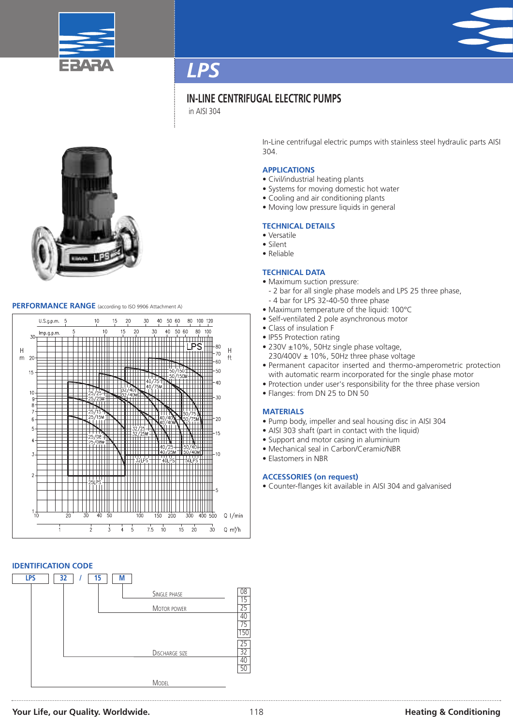



### **IN-LINE CENTRIFUGAL ELECTRIC PUMPS**

in AISI 304



### **PERFORMANCE RANGE** (according to ISO <sup>9906</sup> Attachment A)



### **IDENTIFICATION CODE**



In-Line centrifugal electric pumps with stainless steel hydraulic parts AISI 304.

### **APPLICATIONS**

- Civil/industrial heating plants
- Systems for moving domestic hot water
- Cooling and air conditioning plants
- Moving low pressure liquids in general

#### **TECHNICAL DETAILS**

- Versatile
- Silent
- Reliable

#### **TECHNICAL DATA**

- Maximum suction pressure:
	- 2 bar for all single phase models and LPS 25 three phase,
- 4 bar for LPS 32-40-50 three phase
- Maximum temperature of the liquid: 100°C
- Self-ventilated 2 pole asynchronous motor
- Class of insulation F
- IP55 Protection rating
- 230V ±10%, 50Hz single phase voltage,
	- $230/400V \pm 10\%$ , 50Hz three phase voltage
- Permanent capacitor inserted and thermo-amperometric protection with automatic rearm incorporated for the single phase motor
- Protection under user's responsibility for the three phase version
- Flanges: from DN 25 to DN 50

### **MATERIALS**

- Pump body, impeller and seal housing disc in AISI 304
- AISI 303 shaft (part in contact with the liquid)
- Support and motor casing in aluminium
- Mechanical seal in Carbon/Ceramic/NBR
- Elastomers in NBR

### **ACCESSORIES (on request)**

• Counter-flanges kit available in AISI 304 and galvanised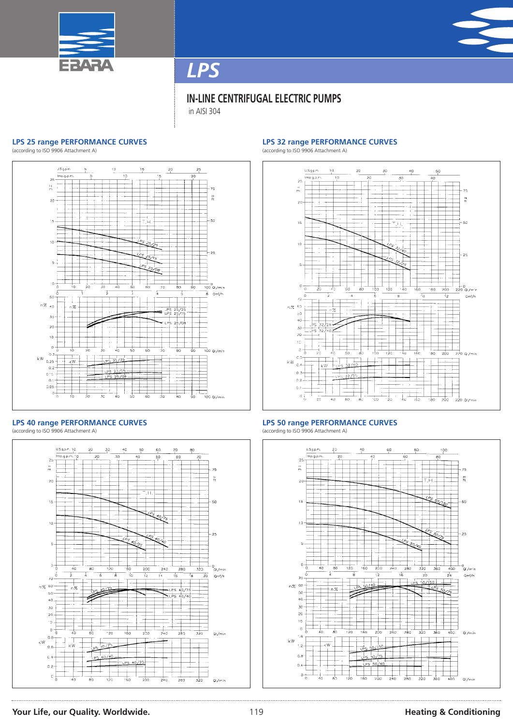



### **IN-LINE CENTRIFUGAL ELECTRIC PUMPS**

in AISI 304

### **LPS 25 range PERFORMANCE CURVES**

(according to ISO 9906 Attachment A)



#### **LPS 40 range PERFORMANCE CURVES** (according to ISO 9906 Attachment A)



### **LPS 32 range PERFORMANCE CURVES**

(according to ISO 9906 Attachment A)



### **LPS 50 range PERFORMANCE CURVES**

(according to ISO 9906 Attachment A)



### **Your Life, our Quality. Worldwide.** 119 **Heating & Conditioning**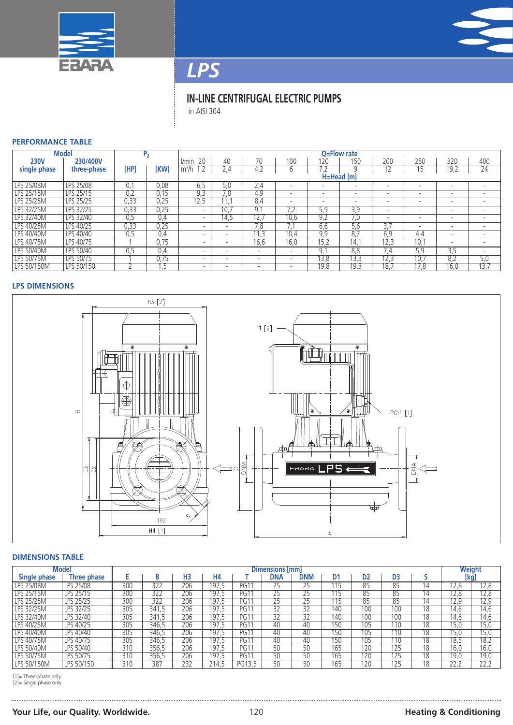



## **IN-LINE CENTRIFUGAL ELECTRIC PUMPS**

in AISI 304

### **PERFORMANCE TABLE**

| <b>Model</b> |                  |      | P <sub>2</sub> |                          | Q=Flow rate              |             |                          |                          |                          |                          |                          |                          |                          |  |  |  |
|--------------|------------------|------|----------------|--------------------------|--------------------------|-------------|--------------------------|--------------------------|--------------------------|--------------------------|--------------------------|--------------------------|--------------------------|--|--|--|
| <b>230V</b>  | 230/400V         |      |                | l/min<br>20              | 40                       | 70          | 100                      | 120                      | 150                      | 200                      | 250                      | 320                      | 400                      |  |  |  |
| single phase | three-phase      | [HP] | <b>[KW]</b>    | m <sup>3</sup> /h<br>.2  | 2,4                      | 4,2         | b                        | 7.2                      |                          |                          | 15                       | 19,2                     | 24                       |  |  |  |
|              |                  |      |                |                          | H=Head [m]               |             |                          |                          |                          |                          |                          |                          |                          |  |  |  |
| LPS 25/08M   | LPS 25/08        | U.   | 0.08           | 6.5                      | 5.0                      | $\angle 74$ |                          |                          | -                        |                          | $\overline{\phantom{a}}$ |                          |                          |  |  |  |
| LPS 25/15M   | <b>LPS 25/15</b> | 0,2  | 0,15           | 9,3                      | 7,8                      | 4,9         | $\overline{\phantom{a}}$ | $\overline{\phantom{a}}$ | $\overline{\phantom{a}}$ | -                        | $\overline{\phantom{a}}$ | $\overline{\phantom{a}}$ | $\overline{\phantom{0}}$ |  |  |  |
| LPS 25/25M   | LPS 25/25        | 0,33 | 0,25           | 12,5                     | 11.                      | 8,4         | $\overline{\phantom{a}}$ | $\overline{\phantom{a}}$ | $\overline{\phantom{a}}$ | $\overline{\phantom{a}}$ | $\overline{\phantom{a}}$ | $\overline{a}$           | $\overline{\phantom{a}}$ |  |  |  |
| LPS 32/25M   | LPS 32/25        | 0,33 | 0,25           | $\overline{\phantom{0}}$ | 10.7                     | 9.          |                          | 5.9                      | 3.9                      | -                        | $\overline{\phantom{a}}$ | $\overline{\phantom{a}}$ | $\overline{\phantom{0}}$ |  |  |  |
| LPS 32/40M   | <b>LPS 32/40</b> | 0,5  | 0,4            | $\overline{\phantom{a}}$ | 14,5                     | 12.7        | 10,6                     | 9,2                      | 7.0                      | -                        | $\overline{\phantom{a}}$ | $\overline{\phantom{a}}$ |                          |  |  |  |
| LPS 40/25M   | LPS 40/25        | 0,33 | 0,25           | $\overline{\phantom{a}}$ | $\overline{\phantom{0}}$ | .8          |                          | 6.6                      | 5.6                      | 3.1                      | $\overline{\phantom{a}}$ | $\overline{\phantom{0}}$ | $\overline{\phantom{a}}$ |  |  |  |
| LPS 40/40M   | LPS 40/40        | 0.5  | 0.4            | $\overline{\phantom{a}}$ | $\overline{\phantom{a}}$ | 11.3        | 10,4                     | 9.9                      | 8.7                      | 6.9                      | 4,4                      | $\overline{\phantom{a}}$ | $\overline{\phantom{0}}$ |  |  |  |
| LPS 40/75M   | LPS 40/75        |      | 0,75           | $\overline{\phantom{a}}$ |                          | 16,6        | 16,0                     | 15,2                     | $1\overline{4}$ .        | 12,3                     | 10,1                     | $\overline{\phantom{a}}$ | $\overline{\phantom{a}}$ |  |  |  |
| LPS 50/40M   | LPS 50/40        | U. 5 | 0.4            | $\overline{\phantom{a}}$ | $\overline{\phantom{a}}$ |             | $\overline{\phantom{a}}$ | 9.                       | 8.8                      | 1.4                      | 5.9                      | 3.5                      | $\overline{\phantom{0}}$ |  |  |  |
| LPS 50/75M   | LPS 50/75        |      | 0.75           | $\overline{\phantom{0}}$ | $\overline{\phantom{0}}$ |             | -                        | 13,8                     | 13,3                     | 12,3                     | 10,7                     | 8,2                      | 5,0                      |  |  |  |
| LPS 50/150M  | LPS 50/150       |      | . כ            | -                        |                          |             |                          | 19,8                     | 19,3                     | 18.7                     | 17,8                     | 16,0                     | 13,                      |  |  |  |

### **LPS DIMENSIONS**



### **DIMENSIONS TABLE**

| Model             |             | Dimensions [mm] |       |                |           |             |         |            |                |                  |     | Weight |                  |      |  |
|-------------------|-------------|-----------------|-------|----------------|-----------|-------------|---------|------------|----------------|------------------|-----|--------|------------------|------|--|
| Single phase      | Three phase |                 | D     | H <sub>3</sub> | <b>H4</b> |             | DNA     | <b>DNM</b> | D <sub>1</sub> | D2               | D3  |        |                  | [kg] |  |
| <b>LPS 25/08M</b> | LPS 25/08   | 300             | 322   | 206            | 197.5     | PG1         | 25      |            | 115            | 85               | 85  | 14     | 12.8             | 12,8 |  |
| LPS 25/15M        | LPS 25/15   | 300             | 322   | 206            | 197.5     | PG1         | ີ<br>25 | nг<br>כ∠   | 115            | 85               | 85  | 14     | 12.8             | 12,8 |  |
| <b>LPS 25/25M</b> | LPS 25/25   | 300             | 322   | 206            | 197.5     | <b>PG11</b> | 25      | 25         | 115            | 85               | 85  | 14     | $\overline{2.9}$ | 12,9 |  |
| <b>LPS 32/25M</b> | LPS 32/25   | 305             | 341.5 | 206            | 197,5     | PG1         | 32      | 32         | 140            | 100              | 100 | 18     | 14.6             | 14,6 |  |
| <b>LPS 32/40M</b> | LPS 32/40   | 305             | 341.5 | 206            | 197.5     | PG1'        | 32      | 32         | 140            | 100              | 100 | 18     | 14.6             | 14,6 |  |
| LPS 40/25M        | LPS 40/25   | 305             | 346.5 | 206            | 197,5     | PG1         | 40      | 40         | 150            | $10\overline{5}$ | 110 | 18     | 15,0             | 15.0 |  |
| LPS 40/40M        | LPS 40/40   | 305             | 346.5 | 206            | 197.5     | PG11        | 40      | 40         | 150            | 105              | 110 | 18     | 15.0             | 15.0 |  |
| <b>LPS 40/75M</b> | LPS 40/75   | 305             | 346.5 | 206            | 197,5     | PG1         | 40      | 40         | 150            | 105              | '10 | 18     | 18,5             | 18,2 |  |
| <b>LPS 50/40M</b> | LPS 50/40   | 310             | 356.5 | 206            | 197.5     | <b>PG11</b> | 50      | 50         | 165            | 120              | 125 | 18     | 16.0             | 16,0 |  |
| <b>LPS 50/75M</b> | LPS 50/75   | 310             | 356.5 | 206            | 197.5     | <b>PG11</b> | 50      | 50         | 165            | 120              | 125 | 18     | 19.0             | 19,0 |  |
| LPS 50/150M       | LPS 50/150  | 310             | 387   | 232            | 214.5     | PG13.5      | 50      | 50         | 165            | 120              | 25  | 18     | 22.2             | 22.2 |  |

[1]= Three-phase only [2]= Single phase only

### **Your Life, our Quality. Worldwide.** 120 **Heating & Conditioning Heating & Conditioning**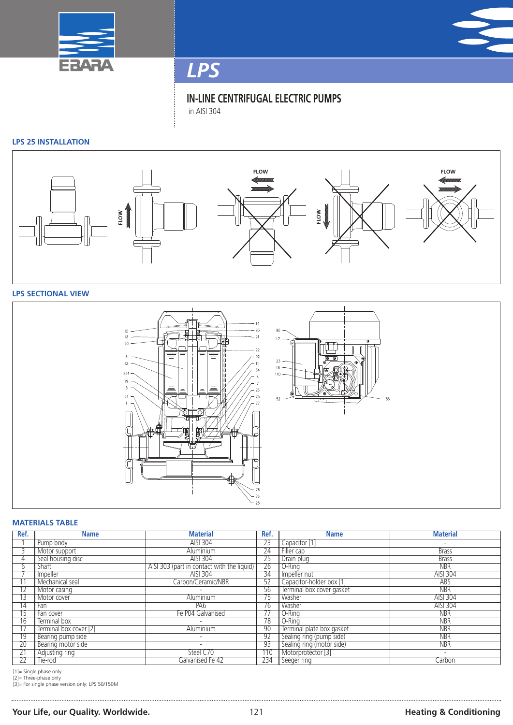



**IN-LINE CENTRIFUGAL ELECTRIC PUMPS** in AISI 304

### **LPS 25 INSTALLATION**



### **LPS SECTIONAL VIEW**



### **MATERIALS TABLE**

| Ref.            | <b>Name</b>            | <b>Material</b>                            | Ref.            | <b>Name</b>               | <b>Material</b>          |
|-----------------|------------------------|--------------------------------------------|-----------------|---------------------------|--------------------------|
|                 | Pump body              | AISI 304                                   | 23              | Capacitor [1]             | $\overline{\phantom{a}}$ |
|                 | Motor support          | Aluminium                                  | 24              | Filler cap                | <b>Brass</b>             |
| 4               | Seal housing disc      | AISI 304                                   | $\overline{25}$ | Drain plug                | <b>Brass</b>             |
| h               | Shaft                  | AISI 303 (part in contact with the liquid) | $\overline{26}$ | O-Ring                    | <b>NBR</b>               |
|                 | Impeller               | AISI 304                                   | 34              | Impeller nut              | AISI 304                 |
|                 | Mechanical seal        | Carbon/Ceramic/NBR                         | 52              | Capacitor-holder box [1]  | ABS                      |
|                 | Motor casing           |                                            | 56              | Terminal box cover gasket | <b>NBR</b>               |
|                 | Motor cover            | Aluminium                                  | 75              | <b>Washer</b>             | AISI 304                 |
| $\overline{14}$ | Fan                    | PA6                                        | $\overline{76}$ | <b>Washer</b>             | AISI 304                 |
| 15              | Fan cover              | Fe P04 Galvanised                          | 77              | O-Rina                    | <b>NBR</b>               |
| 16              | Terminal box           |                                            | 78              | O-Rina                    | <b>NBR</b>               |
| 17              | Terminal box cover [2] | Aluminium                                  | 90              | Terminal plate box gasket | <b>NBR</b>               |
| $\overline{19}$ | Bearing pump side      | $\overline{\phantom{a}}$                   | 92              | Sealing ring (pump side)  | <b>NBR</b>               |
| $\overline{20}$ | Bearing motor side     |                                            | 93              | Sealing ring (motor side) | <b>NBR</b>               |
| 21              | Adjusting ring         | Steel C70                                  | 110             | Motorprotector [3]        | $\overline{\phantom{a}}$ |
| $\overline{22}$ | Tie-rod                | Galvanised Fe 42                           | 234             | Seeger ring               | Carbon                   |

[1]= Single phase only [2]= Three-phase only [3]= For single phase version only: LPS 50/150M